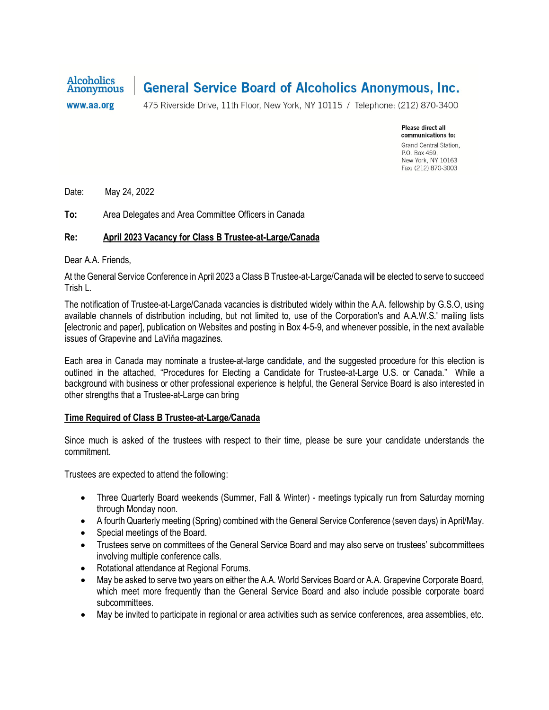

# **General Service Board of Alcoholics Anonymous, Inc.**

www.aa.org

475 Riverside Drive, 11th Floor, New York, NY 10115 / Telephone: (212) 870-3400

Please direct all communications to: Grand Central Station, P.O. Box 459. New York, NY 10163 Fax: (212) 870-3003

Date: May 24, 2022

**To:** Area Delegates and Area Committee Officers in Canada

#### **Re: April 2023 Vacancy for Class B Trustee-at-Large***/***Canada**

Dear A.A. Friends,

At the General Service Conference in April 2023 a Class B Trustee-at-Large/Canada will be elected to serve to succeed Trish L.

The notification of Trustee-at-Large/Canada vacancies is distributed widely within the A.A. fellowship by G.S.O, using available channels of distribution including, but not limited to, use of the Corporation's and A.A.W.S.' mailing lists [electronic and paper], publication on Websites and posting in Box 4-5-9, and whenever possible, in the next available issues of Grapevine and LaViňa magazines.

Each area in Canada may nominate a trustee-at-large candidate, and the suggested procedure for this election is outlined in the attached, "Procedures for Electing a Candidate for Trustee-at-Large U.S. or Canada." While a background with business or other professional experience is helpful, the General Service Board is also interested in other strengths that a Trustee-at-Large can bring

#### **Time Required of Class B Trustee-at-Large***/***Canada**

Since much is asked of the trustees with respect to their time, please be sure your candidate understands the commitment.

Trustees are expected to attend the following:

- Three Quarterly Board weekends (Summer, Fall & Winter) meetings typically run from Saturday morning through Monday noon.
- A fourth Quarterly meeting (Spring) combined with the General Service Conference (seven days) in April/May.
- Special meetings of the Board.
- Trustees serve on committees of the General Service Board and may also serve on trustees' subcommittees involving multiple conference calls.
- Rotational attendance at Regional Forums.
- May be asked to serve two years on either the A.A. World Services Board or A.A. Grapevine Corporate Board, which meet more frequently than the General Service Board and also include possible corporate board subcommittees.
- May be invited to participate in regional or area activities such as service conferences, area assemblies, etc.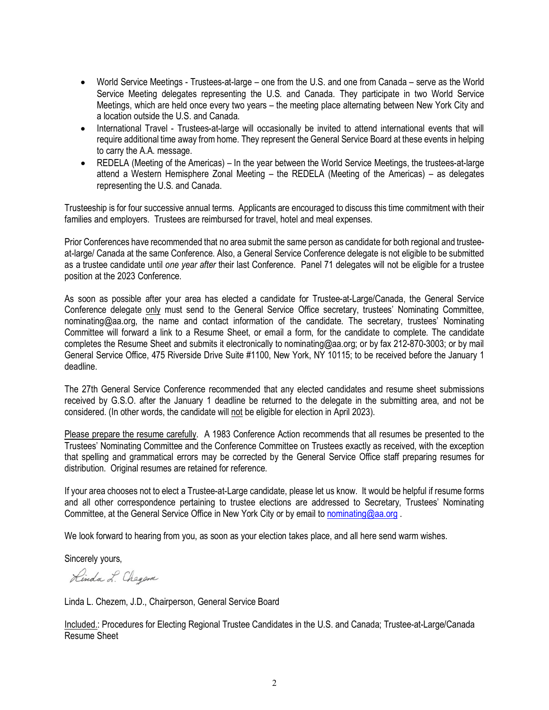- World Service Meetings Trustees-at-large one from the U.S. and one from Canada serve as the World Service Meeting delegates representing the U.S. and Canada. They participate in two World Service Meetings, which are held once every two years – the meeting place alternating between New York City and a location outside the U.S. and Canada.
- International Travel Trustees-at-large will occasionally be invited to attend international events that will require additional time away from home. They represent the General Service Board at these events in helping to carry the A.A. message.
- REDELA (Meeting of the Americas) In the year between the World Service Meetings, the trustees-at-large attend a Western Hemisphere Zonal Meeting – the REDELA (Meeting of the Americas) – as delegates representing the U.S. and Canada.

Trusteeship is for four successive annual terms. Applicants are encouraged to discuss this time commitment with their families and employers. Trustees are reimbursed for travel, hotel and meal expenses.

Prior Conferences have recommended that no area submit the same person as candidate for both regional and trusteeat-large/ Canada at the same Conference. Also, a General Service Conference delegate is not eligible to be submitted as a trustee candidate until *one year after* their last Conference. Panel 71 delegates will not be eligible for a trustee position at the 2023 Conference.

As soon as possible after your area has elected a candidate for Trustee-at-Large/Canada, the General Service Conference delegate only must send to the General Service Office secretary, trustees' Nominating Committee, nominating@aa.org, the name and contact information of the candidate. The secretary, trustees' Nominating Committee will forward a link to a Resume Sheet, or email a form, for the candidate to complete. The candidate completes the Resume Sheet and submits it electronically to nominating@aa.org; or by fax 212-870-3003; or by mail General Service Office, 475 Riverside Drive Suite #1100, New York, NY 10115; to be received before the January 1 deadline.

The 27th General Service Conference recommended that any elected candidates and resume sheet submissions received by G.S.O. after the January 1 deadline be returned to the delegate in the submitting area, and not be considered. (In other words, the candidate will not be eligible for election in April 2023).

Please prepare the resume carefully. A 1983 Conference Action recommends that all resumes be presented to the Trustees' Nominating Committee and the Conference Committee on Trustees exactly as received, with the exception that spelling and grammatical errors may be corrected by the General Service Office staff preparing resumes for distribution. Original resumes are retained for reference.

If your area chooses not to elect a Trustee-at-Large candidate, please let us know. It would be helpful if resume forms and all other correspondence pertaining to trustee elections are addressed to Secretary, Trustees' Nominating Committee, at the General Service Office in New York City or by email to nominating@aa.org

We look forward to hearing from you, as soon as your election takes place, and all here send warm wishes.

Sincerely yours,

Rinda L. Chegen

Linda L. Chezem, J.D., Chairperson, General Service Board

Included.: Procedures for Electing Regional Trustee Candidates in the U.S. and Canada; Trustee-at-Large/Canada Resume Sheet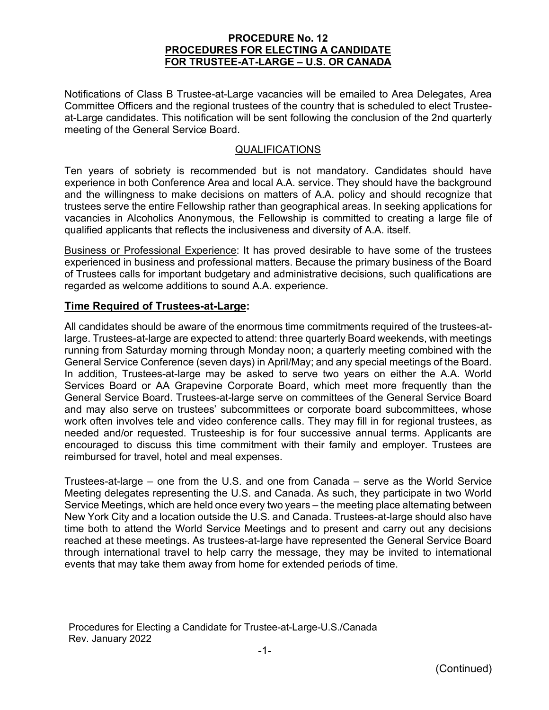### **PROCEDURE No. 12 PROCEDURES FOR ELECTING A CANDIDATE FOR TRUSTEE-AT-LARGE – U.S. OR CANADA**

Notifications of Class B Trustee-at-Large vacancies will be emailed to Area Delegates, Area Committee Officers and the regional trustees of the country that is scheduled to elect Trusteeat-Large candidates. This notification will be sent following the conclusion of the 2nd quarterly meeting of the General Service Board.

### QUALIFICATIONS

Ten years of sobriety is recommended but is not mandatory. Candidates should have experience in both Conference Area and local A.A. service. They should have the background and the willingness to make decisions on matters of A.A. policy and should recognize that trustees serve the entire Fellowship rather than geographical areas. In seeking applications for vacancies in Alcoholics Anonymous, the Fellowship is committed to creating a large file of qualified applicants that reflects the inclusiveness and diversity of A.A. itself.

Business or Professional Experience: It has proved desirable to have some of the trustees experienced in business and professional matters. Because the primary business of the Board of Trustees calls for important budgetary and administrative decisions, such qualifications are regarded as welcome additions to sound A.A. experience.

## **Time Required of Trustees-at-Large:**

All candidates should be aware of the enormous time commitments required of the trustees-atlarge. Trustees-at-large are expected to attend: three quarterly Board weekends, with meetings running from Saturday morning through Monday noon; a quarterly meeting combined with the General Service Conference (seven days) in April/May; and any special meetings of the Board. In addition, Trustees-at-large may be asked to serve two years on either the A.A. World Services Board or AA Grapevine Corporate Board, which meet more frequently than the General Service Board. Trustees-at-large serve on committees of the General Service Board and may also serve on trustees' subcommittees or corporate board subcommittees, whose work often involves tele and video conference calls. They may fill in for regional trustees, as needed and/or requested. Trusteeship is for four successive annual terms. Applicants are encouraged to discuss this time commitment with their family and employer. Trustees are reimbursed for travel, hotel and meal expenses.

Trustees-at-large – one from the U.S. and one from Canada – serve as the World Service Meeting delegates representing the U.S. and Canada. As such, they participate in two World Service Meetings, which are held once every two years – the meeting place alternating between New York City and a location outside the U.S. and Canada. Trustees-at-large should also have time both to attend the World Service Meetings and to present and carry out any decisions reached at these meetings. As trustees-at-large have represented the General Service Board through international travel to help carry the message, they may be invited to international events that may take them away from home for extended periods of time.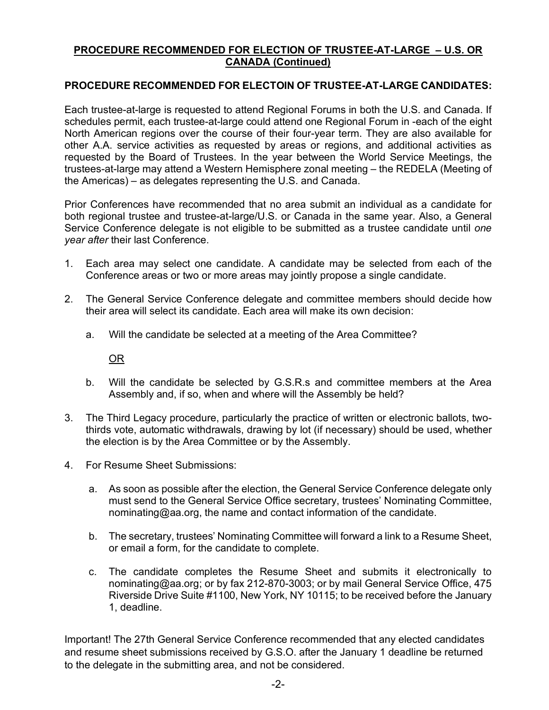## **PROCEDURE RECOMMENDED FOR ELECTION OF TRUSTEE-AT-LARGE – U.S. OR CANADA (Continued)**

## **PROCEDURE RECOMMENDED FOR ELECTOIN OF TRUSTEE-AT-LARGE CANDIDATES:**

Each trustee-at-large is requested to attend Regional Forums in both the U.S. and Canada. If schedules permit, each trustee-at-large could attend one Regional Forum in -each of the eight North American regions over the course of their four-year term. They are also available for other A.A. service activities as requested by areas or regions, and additional activities as requested by the Board of Trustees. In the year between the World Service Meetings, the trustees-at-large may attend a Western Hemisphere zonal meeting – the REDELA (Meeting of the Americas) – as delegates representing the U.S. and Canada.

Prior Conferences have recommended that no area submit an individual as a candidate for both regional trustee and trustee-at-large/U.S. or Canada in the same year. Also, a General Service Conference delegate is not eligible to be submitted as a trustee candidate until *one year after* their last Conference.

- 1. Each area may select one candidate. A candidate may be selected from each of the Conference areas or two or more areas may jointly propose a single candidate.
- 2. The General Service Conference delegate and committee members should decide how their area will select its candidate. Each area will make its own decision:
	- a. Will the candidate be selected at a meeting of the Area Committee?

OR

- b. Will the candidate be selected by G.S.R.s and committee members at the Area Assembly and, if so, when and where will the Assembly be held?
- 3. The Third Legacy procedure, particularly the practice of written or electronic ballots, twothirds vote, automatic withdrawals, drawing by lot (if necessary) should be used, whether the election is by the Area Committee or by the Assembly.
- 4. For Resume Sheet Submissions:
	- a. As soon as possible after the election, the General Service Conference delegate only must send to the General Service Office secretary, trustees' Nominating Committee, nominating@aa.org, the name and contact information of the candidate.
	- b. The secretary, trustees' Nominating Committee will forward a link to a Resume Sheet, or email a form, for the candidate to complete.
	- c. The candidate completes the Resume Sheet and submits it electronically to nominating@aa.org; or by fax 212-870-3003; or by mail General Service Office, 475 Riverside Drive Suite #1100, New York, NY 10115; to be received before the January 1, deadline.

Important! The 27th General Service Conference recommended that any elected candidates and resume sheet submissions received by G.S.O. after the January 1 deadline be returned to the delegate in the submitting area, and not be considered.